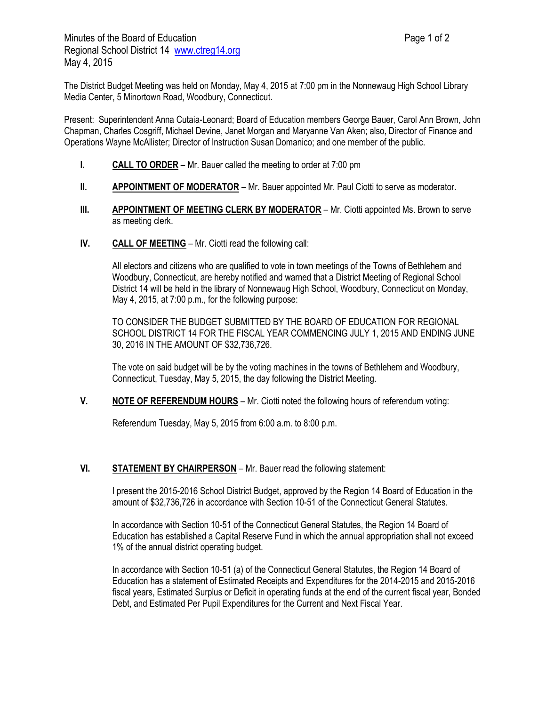The District Budget Meeting was held on Monday, May 4, 2015 at 7:00 pm in the Nonnewaug High School Library Media Center, 5 Minortown Road, Woodbury, Connecticut.

Present: Superintendent Anna Cutaia-Leonard; Board of Education members George Bauer, Carol Ann Brown, John Chapman, Charles Cosgriff, Michael Devine, Janet Morgan and Maryanne Van Aken; also, Director of Finance and Operations Wayne McAllister; Director of Instruction Susan Domanico; and one member of the public.

- **I. CALL TO ORDER** Mr. Bauer called the meeting to order at 7:00 pm
- **II. <b>APPOINTMENT OF MODERATOR** Mr. Bauer appointed Mr. Paul Ciotti to serve as moderator.
- **III. APPOINTMENT OF MEETING CLERK BY MODERATOR** Mr. Ciotti appointed Ms. Brown to serve as meeting clerk.
- **IV. CALL OF MEETING** Mr. Ciotti read the following call:

All electors and citizens who are qualified to vote in town meetings of the Towns of Bethlehem and Woodbury, Connecticut, are hereby notified and warned that a District Meeting of Regional School District 14 will be held in the library of Nonnewaug High School, Woodbury, Connecticut on Monday, May 4, 2015, at 7:00 p.m., for the following purpose:

TO CONSIDER THE BUDGET SUBMITTED BY THE BOARD OF EDUCATION FOR REGIONAL SCHOOL DISTRICT 14 FOR THE FISCAL YEAR COMMENCING JULY 1, 2015 AND ENDING JUNE 30, 2016 IN THE AMOUNT OF \$32,736,726.

The vote on said budget will be by the voting machines in the towns of Bethlehem and Woodbury, Connecticut, Tuesday, May 5, 2015, the day following the District Meeting.

**V. NOTE OF REFERENDUM HOURS** – Mr. Ciotti noted the following hours of referendum voting:

Referendum Tuesday, May 5, 2015 from 6:00 a.m. to 8:00 p.m.

### **VI. STATEMENT BY CHAIRPERSON** – Mr. Bauer read the following statement:

I present the 2015-2016 School District Budget, approved by the Region 14 Board of Education in the amount of \$32,736,726 in accordance with Section 10-51 of the Connecticut General Statutes.

In accordance with Section 10-51 of the Connecticut General Statutes, the Region 14 Board of Education has established a Capital Reserve Fund in which the annual appropriation shall not exceed 1% of the annual district operating budget.

In accordance with Section 10-51 (a) of the Connecticut General Statutes, the Region 14 Board of Education has a statement of Estimated Receipts and Expenditures for the 2014-2015 and 2015-2016 fiscal years, Estimated Surplus or Deficit in operating funds at the end of the current fiscal year, Bonded Debt, and Estimated Per Pupil Expenditures for the Current and Next Fiscal Year.